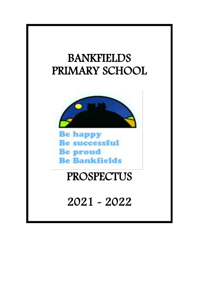# BANKFIELDS PRIMARY SCHOOL



**Be happy** e successful **Be proud Be Bankfields** 

# PROSPECTUS

2021 - 2022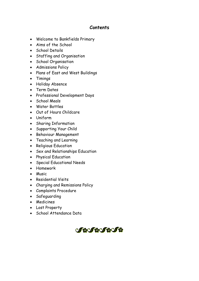## **Contents**

- Welcome to Bankfields Primary
- Aims of the School
- School Details
- Staffing and Organisation
- School Organisation
- **•** Admissions Policy
- Plans of East and West Buildings
- Timings
- Holiday Absence
- Term Dates
- Professional Development Days
- School Meals
- Water Bottles
- Out of Hours Childcare
- Uniform
- Sharing Information
- Supporting Your Child
- Behaviour Management
- Teaching and Learning
- Religious Education
- Sex and Relationships Education
- Physical Education
- **•** Special Educational Needs
- Homework
- Music
- Residential Visits
- Charging and Remissions Policy
- Complaints Procedure
- Safeguarding
- Medicines
- Lost Property
- School Attendance Data

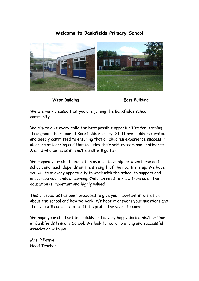## **Welcome to Bankfields Primary School**



West Building **East Building** 

We are very pleased that you are joining the Bankfields school community.

We aim to give every child the best possible opportunities for learning throughout their time at Bankfields Primary. Staff are highly motivated and deeply committed to ensuring that all children experience success in all areas of learning and that includes their self-esteem and confidence. A child who believes in him/herself will go far.

We regard your child's education as a partnership between home and school, and much depends on the strength of that partnership. We hope you will take every opportunity to work with the school to support and encourage your child's learning. Children need to know from us all that education is important and highly valued.

This prospectus has been produced to give you important information about the school and how we work. We hope it answers your questions and that you will continue to find it helpful in the years to come.

We hope your child settles quickly and is very happy during his/her time at Bankfields Primary School. We look forward to a long and successful association with you.

Mrs. P Petrie Head Teacher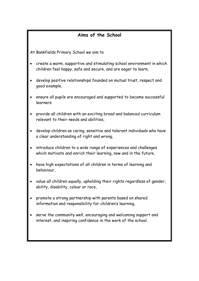## **Aims of the School**

At Bankfields Primary School we aim to

- create a warm, supportive and stimulating school environment in which children feel happy, safe and secure, and are eager to learn,
- develop positive relationships founded on mutual trust, respect and good example,
- ensure all pupils are encouraged and supported to become successful learners
- provide all children with an exciting broad and balanced curriculum relevant to their needs and abilities,
- develop children as caring, sensitive and tolerant individuals who have a clear understanding of right and wrong,
- introduce children to a wide range of experiences and challenges which motivate and enrich their learning, now and in the future,
- have high expectations of all children in terms of learning and behaviour,
- value all children equally, upholding their rights regardless of gender, ability, disability, colour or race,
- promote a strong partnership with parents based on shared information and responsibility for children's learning,
- serve the community well, encouraging and welcoming support and interest, and inspiring confidence in the work of the school.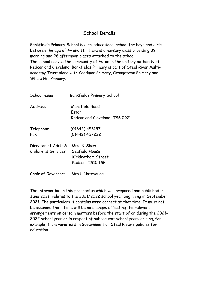## **School Details**

Bankfields Primary School is a co-educational school for boys and girls between the age of 4+ and 11. There is a nursery class providing 39 morning and 26 afternoon places attached to the school. The school serves the community of Eston in the unitary authority of Redcar and Cleveland. Bankfields Primary is part of Steel River Multiacademy Trust along with Caedmon Primary, Grangetown Primary and Whale Hill Primary.

| School name                                | <b>Bankfields Primary School</b>                                        |  |
|--------------------------------------------|-------------------------------------------------------------------------|--|
| Address                                    | Mansfield Road<br>Eston<br>Redcar and Cleveland TS6 ORZ                 |  |
| Telephone<br>Fax                           | $(01642)$ 453157<br>(01642) 457232                                      |  |
| Director of Adult &<br>Children's Services | Mrs. B. Shaw<br>Seafield House<br>Kirkleatham Street<br>Redcar TS10 1SP |  |

Chair of Governors Mrs L Noteyoung

The information in this prospectus which was prepared and published in June 2021, relates to the 2021/2022 school year beginning in September 2021. The particulars it contains were correct at that time. It must not be assumed that there will be no changes affecting the relevant arrangements on certain matters before the start of or during the 2021- 2022 school year or in respect of subsequent school years arising, for example, from variations in Government or Steel River's policies for education.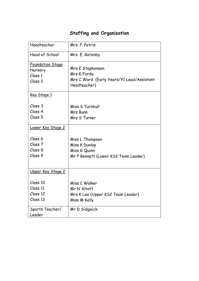## **Staffing and Organisation**

| Headteacher                                                  | Mrs. P. Petrie                                                                               |
|--------------------------------------------------------------|----------------------------------------------------------------------------------------------|
| Head of School                                               | Mrs. E. Gatenby                                                                              |
| Foundation Stage<br>Nursery<br>Class 1<br>Class <sub>2</sub> | Mrs E Stephenson<br>Mrs K Forde<br>Mrs C Ward (Early Years/Y1 Lead/Assistant<br>Headteacher) |
| <u>Key Stage 1</u>                                           |                                                                                              |
| Class 3<br>Class 4<br>Class <sub>5</sub>                     | Miss S Turnbull<br>Mrs Bunn<br>Mrs S Turner                                                  |
| Lower Key Stage 2                                            |                                                                                              |
| Class 6<br>Class <sub>7</sub><br>Class 8<br>Class 9          | Miss L Thompson<br>Miss K Dunlop<br>Miss G Quinn<br>Mr P Bennett (Lower KS2 Team Leader)     |
| <u>Upper Key Stage 2</u>                                     |                                                                                              |
| Class 10<br>Class 11<br>Class 12<br>Class 13                 | Miss C Walker<br>Mr N Altoft<br>Mrs K Lee (Upper KS2 Team Leader)<br>Miss M Kelly            |
| Sports Teacher/<br>Leader                                    | Mr D Sidgwick                                                                                |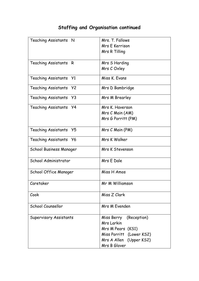## **Staffing and Organisation continued**

| Teaching Assistants N         | Mrs. T. Fallows          |
|-------------------------------|--------------------------|
|                               | Mrs E Kerrison           |
|                               | Mrs R Tilling            |
|                               |                          |
| Teaching Assistants R         | Mrs S Harding            |
|                               | Mrs C Oxley              |
| Teaching Assistants Y1        | Miss K. Evans            |
| Teaching Assistants Y2        | Mrs D Bambridge          |
| Teaching Assistants Y3        | Mrs M Brearley           |
| Teaching Assistants Y4        | Mrs K. Haverson          |
|                               | Mrs C Main (AM)          |
|                               | Mrs G Porritt (PM)       |
|                               |                          |
| Teaching Assistants Y5        | Mrs C Main (PM)          |
| Teaching Assistants Y6        | Mrs K Walker             |
| School Business Manager       | Mrs K Stevenson          |
| School Administrator          | Mrs E Dale               |
| School Office Manager         | Miss H Amos              |
| Caretaker                     | Mr M Williamson          |
| Cook                          | Miss Z Clark             |
| School Counsellor             | Mrs M Evenden            |
| <b>Supervisory Assistants</b> | Miss Berry (Reception)   |
|                               | Mrs Larkin               |
|                               | Mrs M Pears (KS1)        |
|                               | Miss Porritt (Lower KS2) |
|                               | Mrs A Allen (Upper KS2)  |
|                               | Mrs B Glover             |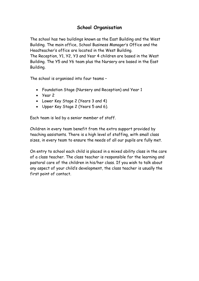## **School Organisation**

The school has two buildings known as the East Building and the West Building. The main office, School Business Manager's Office and the Headteacher's office are located in the West Building.

The Reception, Y1, Y2, Y3 and Year 4 children are based in the West Building. The Y5 and Y6 team plus the Nursery are based in the East Building.

The school is organised into four teams –

- Foundation Stage (Nursery and Reception) and Year 1
- Year 2
- Lower Key Stage 2 (Years 3 and 4)
- Upper Key Stage 2 (Years 5 and 6).

Each team is led by a senior member of staff.

Children in every team benefit from the extra support provided by teaching assistants. There is a high level of staffing, with small class sizes, in every team to ensure the needs of all our pupils are fully met.

On entry to school each child is placed in a mixed ability class in the care of a class teacher. The class teacher is responsible for the learning and pastoral care of the children in his/her class. If you wish to talk about any aspect of your child's development, the class teacher is usually the first point of contact.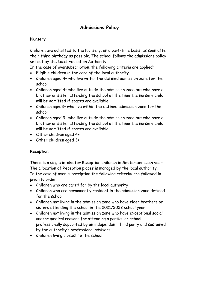## **Admissions Policy**

#### **Nursery**

Children are admitted to the Nursery, on a part-time basis, as soon after their third birthday as possible. The school follows the admissions policy set out by the Local Education Authority.

In the case of oversubscription, the following criteria are applied:

- Eligible children in the care of the local authority
- Children aged 4+ who live within the defined admission zone for the school
- Children aged 4+ who live outside the admission zone but who have a brother or sister attending the school at the time the nursery child will be admitted if spaces are available.
- Children aged3+ who live within the defined admission zone for the school
- Children aged 3+ who live outside the admission zone but who have a brother or sister attending the school at the time the nursery child will be admitted if spaces are available.
- Other children aged 4+
- Other children aged 3+

## **Reception**

There is a single intake for Reception children in September each year. The allocation of Reception places is managed by the local authority. In the case of over subscription the following criteria: are followed in priority order:

- Children who are cared for by the local authority
- Children who are permanently resident in the admission zone defined for the school
- Children not living in the admission zone who have elder brothers or sisters attending the school in the 2021/2022 school year
- Children not living in the admission zone who have exceptional social and/or medical reasons for attending a particular school, professionally supported by an independent third party and sustained by the authority's professional advisers
- Children living closest to the school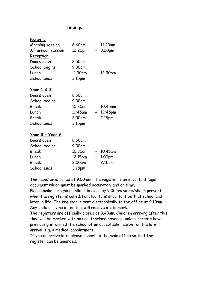## **Timings**

| <u>Nursery</u>        |         |             |
|-----------------------|---------|-------------|
| Morning session       | 8.40am  | - 11.40am   |
| Afternoon session     | 12.20pm | $-3.20pm$   |
| <b>Reception</b>      |         |             |
| Doors open            | 8.50am  |             |
| School begins         | 9.00am  |             |
| Lunch                 | 11.30am | $-12.30pm$  |
| School ends           | 3.15pm  |             |
| <b>Year 1 &amp; 2</b> |         |             |
| Doors open            | 8.50am  |             |
| School begins         | 9.00am  |             |
| Break                 | 10.30am | - 10:45am   |
| Lunch                 | 11:45am | $-12:45$ pm |
| Break                 | 2.00pm  | $-2.15pm$   |
| School ends           | 3.15pm  |             |
|                       |         |             |

#### **Year 3 – Year 6**

| Doors open    | 8.50am             |                   |
|---------------|--------------------|-------------------|
| School begins | 9.00am             |                   |
| <b>Break</b>  | 10.30am            | 10.45am           |
| Lunch         | 12.15pm            | $-1.00pm$         |
| <b>Break</b>  | 2:00 <sub>pm</sub> | $-2:15 \text{pm}$ |
| School ends   | $3:15$ pm          |                   |

The register is called at 9.00 am. The register is an important legal document which must be marked accurately and on time.

Please make sure your child is in class by 9.00 am so he/she is present when the register is called. Punctuality is important both at school and later in life. The register is sent electronically to the office at 9.10am. Any child arriving after this will receive a late mark.

The registers are officially closed at 9.40am. Children arriving after this time will be marked with an unauthorised absence, unless parents have previously informed the school of an acceptable reason for the late arrival, e.g. a medical appointment.

If you do arrive late, please report to the main office so that the register can be amended.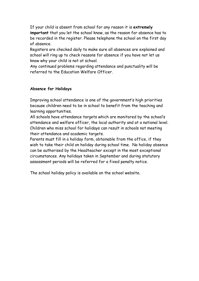If your child is absent from school for any reason it is **extremely important** that you let the school know, as the reason for absence has to be recorded in the register. Please telephone the school on the first day of absence.

Registers are checked daily to make sure all absences are explained and school will ring up to check reasons for absence if you have not let us know why your child is not at school.

Any continued problems regarding attendance and punctuality will be referred to the Education Welfare Officer.

#### **Absence for Holidays**

Improving school attendance is one of the government's high priorities because children need to be in school to benefit from the teaching and learning opportunities.

All schools have attendance targets which are monitored by the school's attendance and welfare officer, the local authority and at a national level. Children who miss school for holidays can result in schools not meeting their attendance and academic targets.

Parents must fill in a holiday form, obtainable from the office, if they wish to take their child on holiday during school time. No holiday absence can be authorised by the Headteacher except in the most exceptional circumstances. Any holidays taken in September and during statutory assessment periods will be referred for a fixed penalty notice.

The school holiday policy is available on the school website.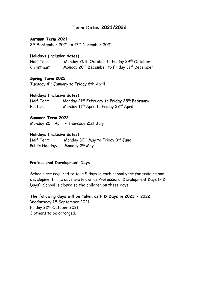## **Term Dates 2021/2022**

**Autumn Term 2021** 2<sup>nd</sup> September 2021 to 17<sup>th</sup> December 2021

#### **Holidays (inclusive dates)**

Half Term: Monday 25th October to Friday 29th October Christmas: Monday 20<sup>th</sup> December to Friday 31<sup>st</sup> December

#### **Spring Term 2022**

Tuesday 4th January to Friday 8th April

#### **Holidays (inclusive dates)**

Half Term: Monday 21<sup>st</sup> February to Friday 25<sup>th</sup> February Easter: Monday 11<sup>th</sup> April to Friday 22<sup>nd</sup> April

#### **Summer Term 2022**

Monday 25th April – Thursday 21st July

#### **Holidays (inclusive dates)**

Half Term: Monday 30<sup>th</sup> May to Friday 3<sup>rd</sup> June Public Holiday: Monday 2<sup>nd</sup> May

#### **Professional Development Days**

Schools are required to take 5 days in each school year for training and development. The days are known as Professional Development Days (P D Days). School is closed to the children on these days.

**The following days will be taken as P D Days in 2021 - 2022:** Wednesday 1<sup>st</sup> September 2021 Friday 22nd October 2021 3 others to be arranged.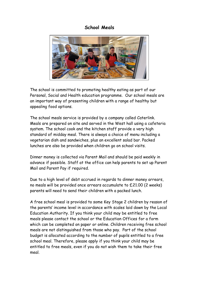## **School Meals**



The school is committed to promoting healthy eating as part of our Personal, Social and Health education programme. Our school meals are an important way of presenting children with a range of healthy but appealing food options.

The school meals service is provided by a company called Caterlink. Meals are prepared on site and served in the West hall using a cafeteria system. The school cook and the kitchen staff provide a very high standard of midday meal. There is always a choice of menu including a vegetarian dish and sandwiches, plus an excellent salad bar. Packed lunches are also be provided when children go on school visits.

Dinner money is collected via Parent Mail and should be paid weekly in advance if possible. Staff at the office can help parents to set up Parent Mail and Parent Pay if required.

Due to a high level of debt accrued in regards to dinner money arrears, no meals will be provided once arrears accumulate to £21.00 (2 weeks) parents will need to send their children with a packed lunch.

A free school meal is provided to some Key Stage 2 children by reason of the parents' income level in accordance with scales laid down by the Local Education Authority. If you think your child may be entitled to free meals please contact the school or the Education Offices for a form which can be completed on paper or online. Children receiving free school meals are not distinguished from those who pay. Part of the school budget is allocated according to the number of pupils entitled to a free school meal. Therefore, please apply if you think your child may be entitled to free meals, even if you do not wish them to take their free meal.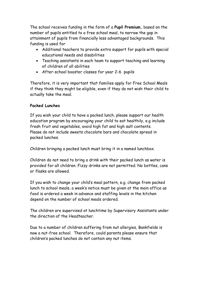The school receives funding in the form of a **Pupil Premium,** based on the number of pupils entitled to a free school meal, to narrow the gap in attainment of pupils from financially less advantaged backgrounds. This funding is used for

- Additional teachers to provide extra support for pupils with special educational needs and disabilities
- Teaching assistants in each team to support teaching and learning of children of all abilities
- After-school booster classes for year 2-6 pupils

Therefore, it is very important that families apply for Free School Meals if they think they might be eligible, even if they do not wish their child to actually take the meal.

#### **Packed Lunches**

If you wish your child to have a packed lunch, please support our health education program by encouraging your child to eat healthily, e.g include fresh fruit and vegetables, avoid high fat and high salt contents. Please do not include sweets chocolate bars and chocolate spread in packed lunches.

Children bringing a packed lunch must bring it in a named lunchbox.

Children do not need to bring a drink with their packed lunch as water is provided for all children. Fizzy drinks are not permitted. No bottles, cans or flasks are allowed.

If you wish to change your child's meal pattern, e.g. change from packed lunch to school meals, a week's notice must be given at the main office as food is ordered a week in advance and staffing levels in the kitchen depend on the number of school meals ordered.

The children are supervised at lunchtime by Supervisory Assistants under the direction of the Headteacher.

Due to a number of children suffering from nut allergies, Bankfields is now a nut-free school. Therefore, could parents please ensure that children's packed lunches do not contain any nut items.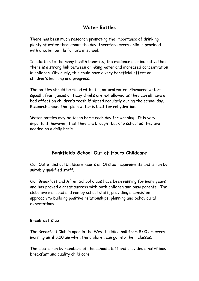## **Water Bottles**

There has been much research promoting the importance of drinking plenty of water throughout the day, therefore every child is provided with a water bottle for use in school.

In addition to the many health benefits, the evidence also indicates that there is a strong link between drinking water and increased concentration in children. Obviously, this could have a very beneficial effect on children's learning and progress.

The bottles should be filled with still, natural water. Flavoured waters, squash, fruit juices or fizzy drinks are not allowed as they can all have a bad effect on children's teeth if sipped regularly during the school day. Research shows that plain water is best for rehydration.

Water bottles may be taken home each day for washing. It is very important, however, that they are brought back to school as they are needed on a daily basis.

## **Bankfields School Out of Hours Childcare**

Our Out of School Childcare meets all Ofsted requirements and is run by suitably qualified staff.

Our Breakfast and After School Clubs have been running for many years and has proved a great success with both children and busy parents. The clubs are managed and run by school staff, providing a consistent approach to building positive relationships, planning and behavioural expectations.

#### **Breakfast Club**

The Breakfast Club is open in the West building hall from 8.00 am every morning until 8.50 am when the children can go into their classes.

The club is run by members of the school staff and provides a nutritious breakfast and quality child care.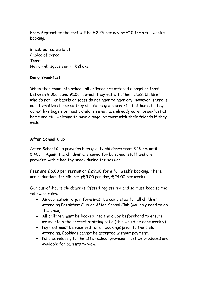From September the cost will be  $£2.25$  per day or  $£10$  for a full week's booking.

Breakfast consists of: Choice of cereal Toast Hot drink, squash or milk shake

#### **Daily Breakfast**

When then come into school, all children are offered a bagel or toast between 9:00am and 9:15am, which they eat with their class. Children who do not like bagels or toast do not have to have any, however, there is no alternative choice so they should be given breakfast at home if they do not like bagels or toast. Children who have already eaten breakfast at home are still welcome to have a bagel or toast with their friends if they wish.

### **After School Club**

After School Club provides high quality childcare from 3.15 pm until 5.40pm. Again, the children are cared for by school staff and are provided with a healthy snack during the session.

Fees are £6.00 per session or £29.00 for a full week's booking. There are reductions for siblings (£5.00 per day, £24.00 per week).

Our out-of-hours childcare is Ofsted registered and so must keep to the following rules:

- An application to join form must be completed for all children attending Breakfast Club or After School Club (you only need to do this once)
- All children must be booked into the clubs beforehand to ensure we maintain the correct staffing ratio (this would be done weekly)
- Payment **must** be received for all bookings prior to the child attending. Bookings cannot be accepted without payment.
- Policies relating to the after school provision must be produced and available for parents to view.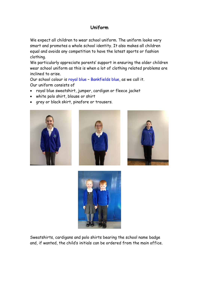## **Uniform**

We expect all children to wear school uniform. The uniform looks very smart and promotes a whole school identity. It also makes all children equal and avoids any competition to have the latest sports or fashion clothing.

We particularly appreciate parents' support in ensuring the older children wear school uniform as this is when a lot of clothing related problems are inclined to arise.

Our school colour is royal blue – Bankfields blue, as we call it. Our uniform consists of

- royal blue sweatshirt, jumper, cardigan or fleece jacket
- white polo shirt, blouse or shirt
- grey or black skirt, pinafore or trousers.









Sweatshirts, cardigans and polo shirts bearing the school name badge and, if wanted, the child's initials can be ordered from the main office.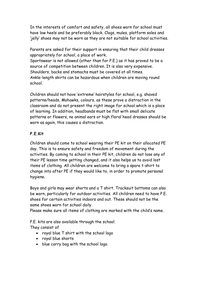In the interests of comfort and safety, all shoes worn for school must have low heels and be preferably black. Clogs, mules, platform soles and 'jelly' shoes may not be worn as they are not suitable for school activities.

Parents are asked for their support in ensuring that their child dresses appropriately for school, a place of work. Sportswear is not allowed (other than for P.E.) as it has proved to be a source of competition between children. It is also very expensive. Shoulders, backs and stomachs must be covered at all times. Ankle-length skirts can be hazardous when children are moving round school.

Children should not have 'extreme' hairstyles for school, e.g. shaved patterns/heads, Mohawks, colours, as these prove a distraction in the classroom and do not present the right image for school which is a place of learning. In addition, headbands must be flat with small delicate patterns or flowers, no animal ears or high floral head dresses should be worn as again, this causes a distraction.

## **P.E.Kit**

Children should come to school wearing their PE kit on their allocated PE day. This is to ensure safety and freedom of movement during the activities. By coming to school in their PE kit, children do not lose any of their PE lesson time getting changed, and it also helps us to avoid lost items of clothing. All children are welcome to bring a spare t-shirt to change into after PE if they would like to, in order to promote personal hygiene.

Boys and girls may wear shorts and a T shirt. Tracksuit bottoms can also be worn, particularly for outdoor activities. All children need to have P.E. shoes for certain activities indoors and out. These should not be the same shoes worn for school daily.

Please make sure all items of clothing are marked with the child's name.

P.E. kits are also available through the school. They consist of

- royal blue T shirt with the school logo
- royal blue shorts
- blue carry bag with the school logo.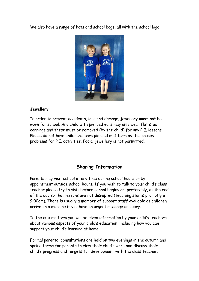We also have a range of hats and school bags, all with the school logo.



#### **Jewellery**

In order to prevent accidents, loss and damage, jewellery **must not** be worn for school. Any child with pierced ears may only wear flat stud earrings and these must be removed (by the child) for any P.E. lessons. Please do not have children's ears pierced mid-term as this causes problems for P.E. activities. Facial jewellery is not permitted.

## **Sharing Information**

Parents may visit school at any time during school hours or by appointment outside school hours. If you wish to talk to your child's class teacher please try to visit before school begins or, preferably, at the end of the day so that lessons are not disrupted (teaching starts promptly at 9.00am). There is usually a member of support staff available as children arrive on a morning if you have an urgent message or query.

In the autumn term you will be given information by your child's teachers about various aspects of your child's education, including how you can support your child's learning at home.

Formal parental consultations are held on two evenings in the autumn and spring terms for parents to view their child's work and discuss their child's progress and targets for development with the class teacher.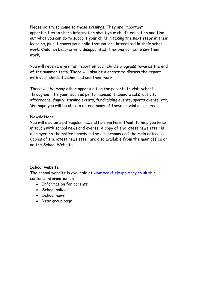Please do try to come to these evenings. They are important opportunities to share information about your child's education and find out what you can do to support your child in taking the next steps in their learning, plus it shows your child that you are interested in their school work. Children become very disappointed if no-one comes to see their work.

You will receive a written report on your child's progress towards the end of the summer term. There will also be a chance to discuss the report with your child's teacher and see their work.

There will be many other opportunities for parents to visit school throughout the year, such as performances, themed weeks, activity afternoons, family learning events, fundraising events, sports events, etc. We hope you will be able to attend many of these special occasions.

#### **Newsletters**

You will also be sent regular newsletters via ParentMail, to help you keep in touch with school news and events. A copy of the latest newsletter is displayed on the notice boards in the cloakrooms and the main entrance. Copies of the latest newsletter are also available from the main office or on the School Website.

#### **School website**

The school website is available at [www.bankfieldsprimary.co.uk](http://www.bankfieldsprimary.co.uk/) this contains information on

- Information for parents
- School policies
- School news
- Year group page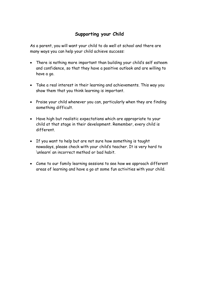## **Supporting your Child**

As a parent, you will want your child to do well at school and there are many ways you can help your child achieve success:

- There is nothing more important than building your child's self esteem and confidence, so that they have a positive outlook and are willing to have a go.
- Take a real interest in their learning and achievements. This way you show them that you think learning is important.
- Praise your child whenever you can, particularly when they are finding something difficult.
- Have high but realistic expectations which are appropriate to your child at that stage in their development. Remember, every child is different.
- If you want to help but are not sure how something is taught nowadays, please check with your child's teacher. It is very hard to 'unlearn' an incorrect method or bad habit.
- Come to our family learning sessions to see how we approach different areas of learning and have a go at some fun activities with your child.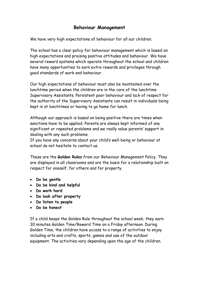## **Behaviour Management**

We have very high expectations of behaviour for all our children.

The school has a clear policy for behaviour management which is based on high expectations and praising positive attitudes and behaviour. We have several reward systems which operate throughout the school and children have many opportunities to earn extra rewards and privileges through good standards of work and behaviour.

Our high expectations of behaviour must also be maintained over the lunchtime period when the children are in the care of the lunchtime Supervisory Assistants. Persistent poor behaviour and lack of respect for the authority of the Supervisory Assistants can result in individuals being kept in at lunchtimes or having to go home for lunch.

Although our approach is based on being positive there are times when sanctions have to be applied. Parents are always kept informed of any significant or repeated problems and we really value parents' support in dealing with any such problems.

If you have any concerns about your child's well-being or behaviour at school do not hesitate to contact us.

These are the **Golden Rules** from our Behaviour Management Policy. They are displayed in all classrooms and are the basis for a relationship built on respect for oneself, for others and for property.

- **Do be gentle**
- **Do be kind and helpful**
- **Do work hard**
- **Do look after property**
- **Do listen to people**
- **Do be honest**

If a child keeps the Golden Rule throughout the school week, they earn 30 minutes Golden Time/Reward Time on a Friday afternoon. During Golden Time, the children have access to a range of activities to enjoy including arts and crafts, sports, games and use of the outdoor equipment. The activities vary depending upon the age of the children.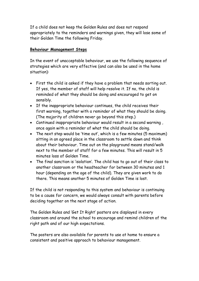If a child does not keep the Golden Rules and does not respond appropriately to the reminders and warnings given, they will lose some of their Golden Time the following Friday.

#### **Behaviour Management Steps**

In the event of unacceptable behaviour, we use the following sequence of strategies which are very effective (and can also be used in the home situation):

- First the child is asked if they have a problem that needs sorting out. If yes, the member of staff will help resolve it. If no, the child is reminded of what they should be doing and encouraged to get on sensibly.
- If the inappropriate behaviour continues, the child receives their first warning, together with a reminder of what they should be doing. (The majority of children never go beyond this step.)
- Continued inappropriate behaviour would result in a second warning , once again with a reminder of what the child should be doing.
- The next step would be 'time out', which is a few minutes (5 maximum) sitting in an agreed place in the classroom to settle down and think about their behaviour. Time out on the playground means stand/walk next to the member of staff for a few minutes. This will result in 5 minutes loss of Golden Time.
- The final sanction is 'isolation'. The child has to go out of their class to another classroom or the headteacher for between 30 minutes and 1 hour (depending on the age of the child). They are given work to do there. This means another 5 minutes of Golden Time is lost.

If the child is not responding to this system and behaviour is continuing to be a cause for concern, we would always consult with parents before deciding together on the next stage of action.

The Golden Rules and 'Get It Right' posters are displayed in every classroom and around the school to encourage and remind children of the right path and of our high expectations.

The posters are also available for parents to use at home to ensure a consistent and positive approach to behaviour management.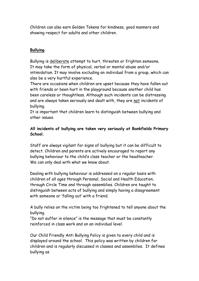Children can also earn Golden Tokens for kindness, good manners and showing respect for adults and other children.

#### **Bullying**

Bullying is deliberate attempt to hurt, threaten or frighten someone. It may take the form of physical, verbal or mental abuse and/or intimidation. It may involve excluding an individual from a group, which can also be a very hurtful experience.

There are occasions when children are upset because they have fallen out with friends or been hurt in the playground because another child has been careless or thoughtless. Although such incidents can be distressing and are always taken seriously and dealt with, they are not incidents of bullying.

It is important that children learn to distinguish between bullying and other issues.

#### **All incidents of bullying are taken very seriously at Bankfields Primary School.**

Staff are always vigilant for signs of bullying but it can be difficult to detect. Children and parents are actively encouraged to report any bullying behaviour to the child's class teacher or the headteacher. We can only deal with what we know about.

Dealing with bullying behaviour is addressed on a regular basis with children of all ages through Personal, Social and Health Education, through Circle Time and through assemblies. Children are taught to distinguish between acts of bullying and simply having a disagreement with someone or 'falling out' with a friend.

A bully relies on the victim being too frightened to tell anyone about the bullying.

"Do not suffer in silence" is the message that must be constantly reinforced in class work and on an individual level.

Our Child Friendly Anti Bullying Policy is given to every child and is displayed around the school. This policy was written by children for children and is regularly discussed in classes and assemblies. It defines bullying as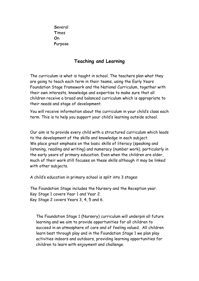**S**everal **T**imes **O**n **P**urpose

## **Teaching and Learning**

The curriculum is what is taught in school. The teachers plan what they are going to teach each term in their teams, using the Early Years Foundation Stage framework and the National Curriculum, together with their own interests, knowledge and expertise to make sure that all children receive a broad and balanced curriculum which is appropriate to their needs and stage of development.

You will receive information about the curriculum in your child's class each term. This is to help you support your child's learning outside school.

Our aim is to provide every child with a structured curriculum which leads to the development of the skills and knowledge in each subject. We place great emphasis on the basic skills of literacy (speaking and listening, reading and writing) and numeracy (number work), particularly in the early years of primary education. Even when the children are older, much of their work still focuses on these skills although it may be linked with other subjects.

A child's education in primary school is split into 3 stages:

The Foundation Stage includes the Nursery and the Reception year. Key Stage 1 covers Year 1 and Year 2. Key Stage 2 covers Years 3, 4, 5 and 6.

The Foundation Stage 1 (Nursery) curriculum will underpin all future learning and we aim to provide opportunities for all children to succeed in an atmosphere of care and of feeling valued. All children learn best through play and in the Foundation Stage 1 we plan play activities indoors and outdoors, providing learning opportunities for children to learn with enjoyment and challenge.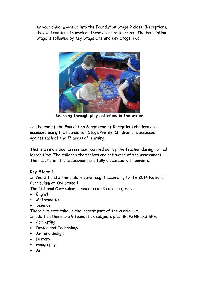As your child moves up into the Foundation Stage 2 class, (Reception), they will continue to work on these areas of learning. The Foundation Stage is followed by Key Stage One and Key Stage Two.



**Learning through play activities in the water**

At the end of the Foundation Stage (end of Reception) children are assessed using the Foundation Stage Profile. Children are assessed against each of the 17 areas of learning.

This is an individual assessment carried out by the teacher during normal lesson time. The children themselves are not aware of the assessment. The results of this assessment are fully discussed with parents.

## **Key Stage 1**

In Years 1 and 2 the children are taught according to the 2014 National Curriculum at Key Stage 1.

The National Curriculum is made up of 3 core subjects

- English
- Mathematics
- Science

These subjects take up the largest part of the curriculum.

In addition there are 9 foundation subjects plus RE, PSHE and SRE.

- Computing
- Design and Technology
- Art and design
- History
- Geography
- Art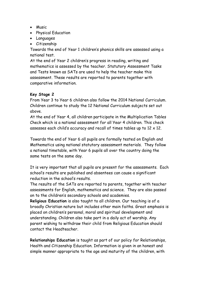- Music
- Physical Education
- Languages
- Citizenship

Towards the end of Year 1 children's phonics skills are assessed using a national test.

At the end of Year 2 children's progress in reading, writing and mathematics is assessed by the teacher. Statutory Assessment Tasks and Tests known as SATs are used to help the teacher make this assessment. These results are reported to parents together with comparative information.

## **Key Stage 2**

From Year 3 to Year 6 children also follow the 2014 National Curriculum. Children continue to study the 12 National Curriculum subjects set out above.

At the end of Year 4, all children participate in the Multiplication Tables Check which is a national assessment for all Year 4 children. This check assesses each child's accuracy and recall of times tables up to 12 x 12.

Towards the end of Year 6 all pupils are formally tested on English and Mathematics using national statutory assessment materials. They follow a national timetable, with Year 6 pupils all over the country doing the same tests on the same day.

It is very important that all pupils are present for the assessments. Each school's results are published and absentees can cause a significant reduction in the school's results.

The results of the SATs are reported to parents, together with teacher assessments for English, mathematics and science. They are also passed on to the children's secondary schools and academies.

**Religious Education** is also taught to all children. Our teaching is of a broadly Christian nature but includes other main faiths. Great emphasis is placed on children's personal, moral and spiritual development and understanding. Children also take part in a daily act of worship. Any parent wishing to withdraw their child from Religious Education should contact the Headteacher.

**Relationships Education** is taught as part of our policy for Relationships, Health and Citizenship Education. Information is given in an honest and simple manner appropriate to the age and maturity of the children, with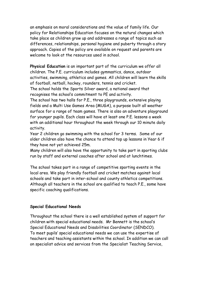an emphasis on moral considerations and the value of family life. Our policy for Relationships Education focuses on the natural changes which take place as children grow up and addresses a range of topics such as differences, relationships, personal hygiene and puberty through a story approach. Copies of the policy are available on request and parents are welcome to look at the resources used in school.

**Physical Education** is an important part of the curriculum we offer all children. The P.E. curriculum includes gymnastics, dance, outdoor activities, swimming, athletics and games. All children will learn the skills of football, netball, hockey, rounders, tennis and cricket.

The school holds the Sports Silver award, a national award that recognises the school's commitment to PE and activity.

The school has two halls for P.E., three playgrounds, extensive playing fields and a Multi Use Games Area (MUGA), a purpose built all weather surface for a range of team games. There is also an adventure playground for younger pupils. Each class will have at least one P.E. lessons a week with an additional hour throughout the week through our 10 minute daily activity.

Year 2 children go swimming with the school for 3 terms. Some of our older children also have the chance to attend top up lessons in Year 6 if they have not yet achieved 25m.

Many children will also have the opportunity to take part in sporting clubs run by staff and external coaches after school and at lunchtimes.

The school takes part in a range of competitive sporting events in the local area. We play friendly football and cricket matches against local schools and take part in inter-school and county athletics competitions. Although all teachers in the school are qualified to teach P.E., some have specific coaching qualifications.

#### **Special Educational Needs**

Throughout the school there is a well established system of support for children with special educational needs. Mr Bennett is the school's Special Educational Needs and Disabilities Coordinator (SENDCO). To meet pupils' special educational needs we can use the expertise of teachers and teaching assistants within the school. In addition we can call on specialist advice and services from the Specialist Teaching Service,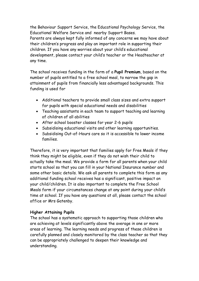the Behaviour Support Service, the Educational Psychology Service, the Educational Welfare Service and nearby Support Bases. Parents are always kept fully informed of any concerns we may have about their children's progress and play an important role in supporting their children. If you have any worries about your child's educational development, please contact your child's teacher or the Headteacher at any time.

The school receives funding in the form of a **Pupil Premium**, based on the number of pupils entitled to a free school meal, to narrow the gap in attainment of pupils from financially less advantaged backgrounds. This funding is used for

- Additional teachers to provide small class sizes and extra support for pupils with special educational needs and disabilities
- Teaching assistants in each team to support teaching and learning of children of all abilities
- After school booster classes for year 2-6 pupils
- Subsidising educational visits and other learning opportunities.
- Subsidising Out-of-Hours care so it is accessible to lower income families.

Therefore, it is very important that families apply for Free Meals if they think they might be eligible, even if they do not wish their child to actually take the meal. We provide a form for all parents when your child starts school so that you can fill in your National Insurance number and some other basic details. We ask all parents to complete this form as any additional funding school receives has a significant, positive impact on your child/children. It is also important to complete the Free School Meals form if your circumstances change at any point during your child's time at school. If you have any questions at all, please contact the school office or Mrs Gatenby.

## **Higher Attaining Pupils**

The school has a systematic approach to supporting those children who are achieving at levels significantly above the average in one or more areas of learning. The learning needs and progress of these children is carefully planned and closely monitored by the class teacher so that they can be appropriately challenged to deepen their knowledge and understanding.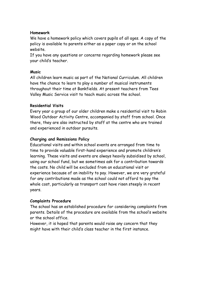#### **Homework**

We have a homework policy which covers pupils of all ages. A copy of the policy is available to parents either as a paper copy or on the school website.

If you have any questions or concerns regarding homework please see your child's teacher.

#### **Music**

All children learn music as part of the National Curriculum. All children have the chance to learn to play a number of musical instruments throughout their time at Bankfields. At present teachers from Tees Valley Music Service visit to teach music across the school.

#### **Residential Visits**

Every year a group of our older children make a residential visit to Robin Wood Outdoor Activity Centre, accompanied by staff from school. Once there, they are also instructed by staff at the centre who are trained and experienced in outdoor pursuits.

#### **Charging and Remissions Policy**

Educational visits and within school events are arranged from time to time to provide valuable first-hand experience and promote children's learning. These visits and events are always heavily subsidised by school, using our school fund, but we sometimes ask for a contribution towards the costs. No child will be excluded from an educational visit or experience because of an inability to pay. However, we are very grateful for any contributions made as the school could not afford to pay the whole cost, particularly as transport cost have risen steeply in recent years.

#### **Complaints Procedure**

The school has an established procedure for considering complaints from parents. Details of the procedure are available from the school's website or the school office.

However, it is hoped that parents would raise any concern that they might have with their child's class teacher in the first instance.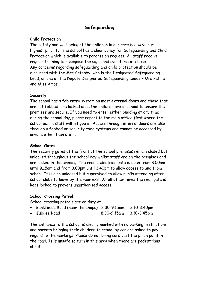## **Safeguarding**

#### **Child Protection**

The safety and well-being of the children in our care is always our highest priority. The school has a clear policy for Safeguarding and Child Protection which is available to parents on request. All staff receive regular training to recognise the signs and symptoms of abuse. Any concerns regarding safeguarding and child protection should be discussed with the Mrs Gatenby, who is the Designated Safeguarding Lead, or one of the Deputy Designated Safeguarding Leads – Mrs Petrie and Miss Amos.

## **Security**

The school has a fob entry system on most external doors and those that are not fobbed, are locked once the children are in school to ensure the premises are secure. If you need to enter either building at any time during the school day, please report to the main office first where the school admin staff will let you in. Access through internal doors are also through a fobbed or security code systems and cannot be accessed by anyone other than staff.

## **School Gates**

The security gates at the front of the school premises remain closed but unlocked throughout the school day whilst staff are on the premises and are locked in the evening. The rear pedestrian gate is open from 8.00am until 9.15am and from 3.00pm until 3.40pm to allow access to and from school. It is also unlocked but supervised to allow pupils attending after school clubs to leave by the rear exit. At all other times the rear gate is kept locked to prevent unauthorised access.

## **School Crossing Patrol**

School crossing patrols are on duty at

- Bankfields Road (near the shops) 8.30-9.15am 3.10-3.40pm
- Jubilee Road 8.30-9.15am 3.10-3.45pm

The entrance to the school is clearly marked with no parking restrictions and parents bringing their children to school by car are asked to pay regard to the markings. Please do not bring cars past the pinch point in the road. It is unsafe to turn in this area when there are pedestrians about.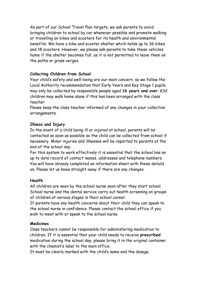As part of our School Travel Plan targets, we ask parents to avoid bringing children to school by car whenever possible and promote walking or travelling on bikes and scooters for its health and environmental benefits. We have a bike and scooter shelter which holds up to 36 bikes and 18 scooters. However, we please ask parents to take these vehicles home if the shelter becomes full, as it is not permitted to leave them on the paths or grass verges.

#### **Collecting Children from School**

Your child's safety and well-being are our main concern, so we follow the Local Authority recommendation that Early Years and Key Stage 1 pupils may only be collected by responsible people aged **16 years and over**. KS2 children may walk home alone if this has been arranged with the class teacher.

Please keep the class teacher informed of any changes in your collection arrangements.

#### **Illness and Injury**

In the event of a child being ill or injured at school, parents will be contacted as soon as possible so the child can be collected from school if necessary. Minor injuries and illnesses will be reported to parents at the end of the school day.

For this system to work effectively it is essential that the school has an up to date record of contact names, addresses and telephone numbers. You will have already completed an information sheet with these details on. Please let us know straight away if there are any changes.

## **Health**

All children are seen by the school nurse soon after they start school. School nurse and the dental service carry out health screening on groups of children at various stages in their school career.

If parents have any health concerns about their child they can speak to the school nurse in confidence. Please contact the school office if you wish to meet with or speak to the school nurse.

#### **Medicines**

Class teachers cannot be responsible for administering medication to children. If it is essential that your child needs to receive **prescribed** medication during the school day, please bring it in the original container with the chemist's label to the main office.

It must be clearly marked with the child's name and the dosage.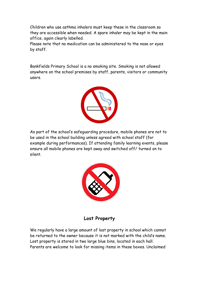Children who use asthma inhalers must keep these in the classroom so they are accessible when needed. A spare inhaler may be kept in the main office, again clearly labelled.

Please note that no medication can be administered to the nose or eyes by staff.

Bankfields Primary School is a no smoking site. Smoking is not allowed anywhere on the school premises by staff, parents, visitors or community users.



As part of the school's safeguarding procedure, mobile phones are not to be used in the school building unless agreed with school staff (for example during performances). If attending family learning events, please ensure all mobile phones are kept away and switched off/ turned on to silent.



**Lost Property**

We regularly have a large amount of lost property in school which cannot be returned to the owner because it is not marked with the child's name. Lost property is stored in two large blue bins, located in each hall. Parents are welcome to look for missing items in these boxes. Unclaimed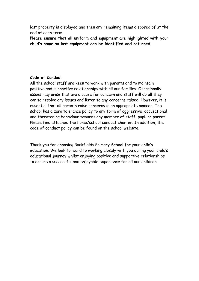lost property is displayed and then any remaining items disposed of at the end of each term.

**Please ensure that all uniform and equipment are highlighted with your child's name so lost equipment can be identified and returned.**

#### **Code of Conduct**

All the school staff are keen to work with parents and to maintain positive and supportive relationships with all our families. Occasionally issues may arise that are a cause for concern and staff will do all they can to resolve any issues and listen to any concerns raised. However, it is essential that all parents raise concerns in an appropriate manner. The school has a zero tolerance policy to any form of aggressive, accusational and threatening behaviour towards any member of staff, pupil or parent. Please find attached the home/school conduct charter. In addition, the code of conduct policy can be found on the school website.

Thank you for choosing Bankfields Primary School for your child's education. We look forward to working closely with you during your child's educational journey whilst enjoying positive and supportive relationships to ensure a successful and enjoyable experience for all our children.